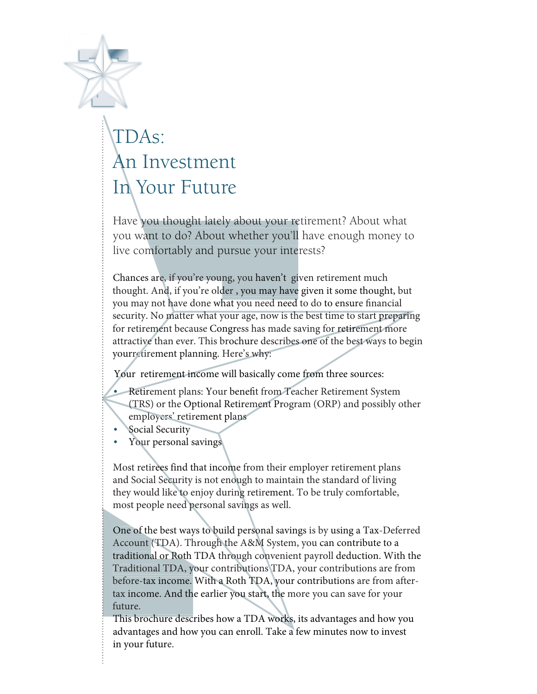

# TDAs: An Investment In Your Future

Have you thought lately about your retirement? About what you want to do? About whether you'll have enough money to live comfortably and pursue your interests?

Chances are, if you're young, you haven't given retirement much thought. And, if you're older , you may have given it some thought, but you may not have done what you need need to do to ensure financial security. No matter what your age, now is the best time to start preparing for retirement because Congress has made saving for retirement more attractive than ever. This brochure describes one of the best ways to begin yourretirement planning. Here's why:

Your retirement income will basically come from three sources:

- Retirement plans: Your benefit from Teacher Retirement System (TRS) or the Optional Retirement Program (ORP) and possibly other employers' retirement plans
- Social Security
- Your personal savings

Most retirees find that income from their employer retirement plans and Social Security is not enough to maintain the standard of living they would like to enjoy during retirement. To be truly comfortable, most people need personal savings as well.

One of the best ways to build personal savings is by using a Tax-Deferred Account (TDA). Through the A&M System, you can contribute to a traditional or Roth TDA through convenient payroll deduction. With the Traditional TDA, your contributions TDA, your contributions are from before-tax income. With a Roth TDA, your contributions are from aftertax income. And the earlier you start, the more you can save for your future.

This brochure describes how a TDA works, its advantages and how you advantages and how you can enroll. Take a few minutes now to invest in your future.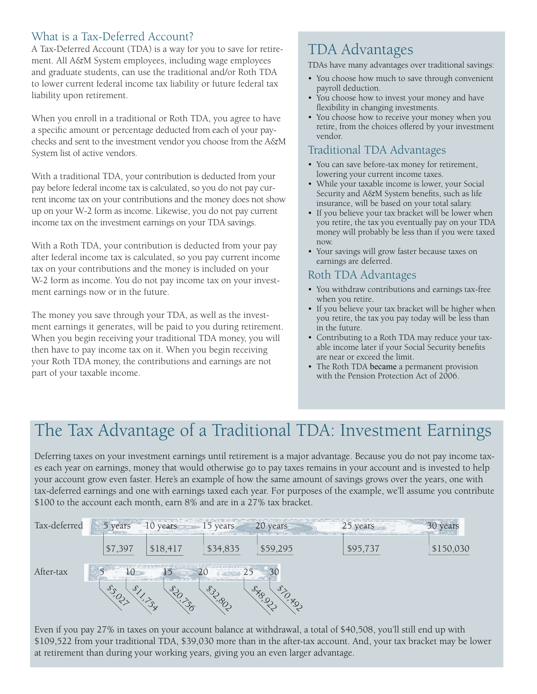## What is a Tax-Deferred Account?

A Tax-Deferred Account (TDA) is a way for you to save for retirement. All A&M System employees, including wage employees and graduate students, can use the traditional and/or Roth TDA to lower current federal income tax liability or future federal tax liability upon retirement.

When you enroll in a traditional or Roth TDA, you agree to have a specific amount or percentage deducted from each of your paychecks and sent to the investment vendor you choose from the A&M System list of active vendors.

With a traditional TDA, your contribution is deducted from your pay before federal income tax is calculated, so you do not pay current income tax on your contributions and the money does not show up on your W-2 form as income. Likewise, you do not pay current income tax on the investment earnings on your TDA savings.

With a Roth TDA, your contribution is deducted from your pay after federal income tax is calculated, so you pay current income tax on your contributions and the money is included on your W-2 form as income. You do not pay income tax on your investment earnings now or in the future.

The money you save through your TDA, as well as the investment earnings it generates, will be paid to you during retirement. When you begin receiving your traditional TDA money, you will then have to pay income tax on it. When you begin receiving your Roth TDA money, the contributions and earnings are not part of your taxable income.

## TDA Advantages

TDAs have many advantages over traditional savings:

- You choose how much to save through convenient payroll deduction.
- You choose how to invest your money and have flexibility in changing investments.
- You choose how to receive your money when you retire, from the choices offered by your investment vendor.

### Traditional TDA Advantages

- You can save before-tax money for retirement, lowering your current income taxes.
- While your taxable income is lower, your Social Security and A&M System benefits, such as life insurance, will be based on your total salary.
- If you believe your tax bracket will be lower when you retire, the tax you eventually pay on your TDA money will probably be less than if you were taxed now.
- Your savings will grow faster because taxes on earnings are deferred.

### Roth TDA Advantages

- You withdraw contributions and earnings tax-free when you retire.
- If you believe your tax bracket will be higher when you retire, the tax you pay today will be less than in the future.
- Contributing to a Roth TDA may reduce your taxable income later if your Social Security benefits are near or exceed the limit.
- The Roth TDA became a permanent provision with the Pension Protection Act of 2006.

# The Tax Advantage of a Traditional TDA: Investment Earnings

Deferring taxes on your investment earnings until retirement is a major advantage. Because you do not pay income taxes each year on earnings, money that would otherwise go to pay taxes remains in your account and is invested to help your account grow even faster. Here's an example of how the same amount of savings grows over the years, one with tax-deferred earnings and one with earnings taxed each year. For purposes of the example, we'll assume you contribute \$100 to the account each month, earn 8% and are in a 27% tax bracket.



Even if you pay 27% in taxes on your account balance at withdrawal, a total of \$40,508, you'll still end up with \$109,522 from your traditional TDA, \$39,030 more than in the after-tax account. And, your tax bracket may be lower at retirement than during your working years, giving you an even larger advantage.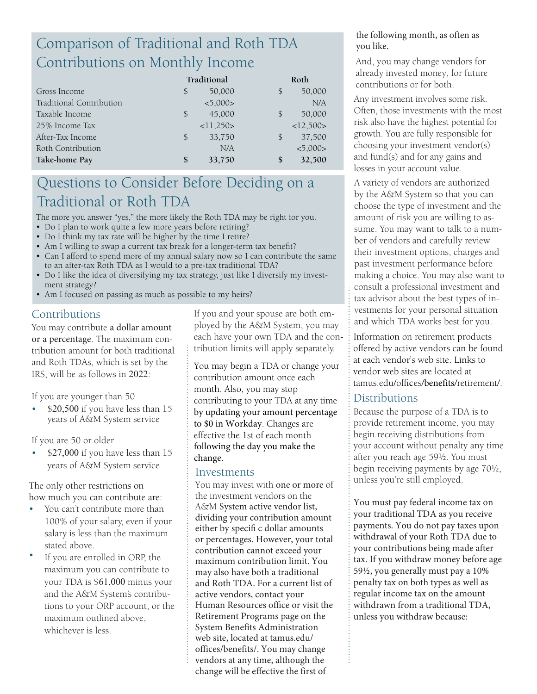# Comparison of Traditional and Roth TDA Contributions on Monthly Income

|                          | Traditional |           |               | Roth      |  |
|--------------------------|-------------|-----------|---------------|-----------|--|
| Gross Income             | \$          | 50,000    | \$            | 50,000    |  |
| Traditional Contribution |             | < 5,000 > |               | N/A       |  |
| Taxable Income           | \$          | 45,000    | \$            | 50,000    |  |
| 25% Income Tax           |             | <11,250>  |               | <12,500>  |  |
| After-Tax Income         | \$          | 33,750    | $\mathcal{S}$ | 37,500    |  |
| Roth Contribution        |             | N/A       |               | < 5,000 > |  |
| Take-home Pay            | \$          | 33,750    | \$            | 32,500    |  |

## Questions to Consider Before Deciding on a Traditional or Roth TDA

The more you answer "yes," the more likely the Roth TDA may be right for you.

- Do I plan to work quite a few more years before retiring?
- Do I think my tax rate will be higher by the time I retire?
- Am I willing to swap a current tax break for a longer-term tax benefit?
- Can I afford to spend more of my annual salary now so I can contribute the same to an after-tax Roth TDA as I would to a pre-tax traditional TDA?
- Do I like the idea of diversifying my tax strategy, just like I diversify my investment strategy?
- Am I focused on passing as much as possible to my heirs?

## Contributions

You may contribute a dollar amount or a percentage. The maximum contribution amount for both traditional and Roth TDAs, which is set by the IRS, will be as follows in 2022:

If you are younger than 50

\$20,500 if you have less than 15 years of A&M System service

If you are 50 or older

• \$27,000 if you have less than 15 years of A&M System service

The only other restrictions on how much you can contribute are:

- You can't contribute more than 100% of your salary, even if your salary is less than the maximum stated above.
- If you are enrolled in ORP, the maximum you can contribute to your TDA is \$61,000 minus your and the A&M System's contributions to your ORP account, or the maximum outlined above, whichever is less.

If you and your spouse are both employed by the A&M System, you may each have your own TDA and the contribution limits will apply separately.

You may begin a TDA or change your contribution amount once each month. Also, you may stop contributing to your TDA at any time by updating your amount percentage to \$0 in Workday. Changes are effective the 1st of each month following the day you make the change.

#### Investments

You may invest with one or more of the investment vendors on the A&M System active vendor list, dividing your contribution amount either by specifi c dollar amounts or percentages. However, your total contribution cannot exceed your maximum contribution limit. You may also have both a traditional and Roth TDA. For a current list of active vendors, contact your Human Resources office or visit the Retirement Programs page on the System Benefits Administration web site, located at tamus.edu/ offices/benefits/. You may change vendors at any time, although the change will be effective the first of

#### the following month, as often as you like.

And, you may change vendors for already invested money, for future contributions or for both.

Any investment involves some risk. Often, those investments with the most risk also have the highest potential for growth. You are fully responsible for choosing your investment vendor(s) and fund(s) and for any gains and losses in your account value.

A variety of vendors are authorized by the A&M System so that you can choose the type of investment and the amount of risk you are willing to assume. You may want to talk to a number of vendors and carefully review their investment options, charges and past investment performance before making a choice. You may also want to consult a professional investment and tax advisor about the best types of investments for your personal situation and which TDA works best for you.

Information on retirement products offered by active vendors can be found at each vendor's web site. Links to [vendor web sites are located at](http://www.tamus.edu/business/benefits-administration/retirement-programs/) tamus.edu/offices/benefits/retirement/.

### **Distributions**

Because the purpose of a TDA is to provide retirement income, you may begin receiving distributions from your account without penalty any time after you reach age 59½. You must begin receiving payments by age 70½, unless you're still employed.

You must pay federal income tax on your traditional TDA as you receive payments. You do not pay taxes upon withdrawal of your Roth TDA due to your contributions being made after tax. If you withdraw money before age 59½, you generally must pay a 10% penalty tax on both types as well as regular income tax on the amount withdrawn from a traditional TDA, unless you withdraw because: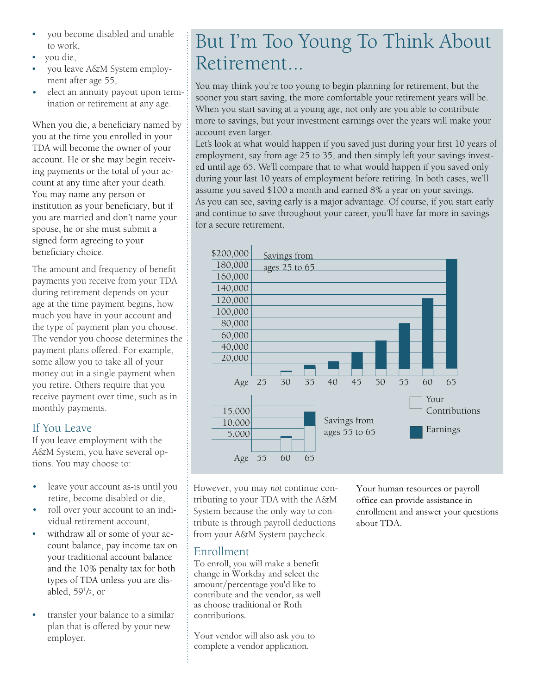- you become disabled and unable to work,
- you die,
- you leave A&M System employment after age 55,
- elect an annuity payout upon termination or retirement at any age. •

When you die, a beneficiary named by you at the time you enrolled in your TDA will become the owner of your account. He or she may begin receiving payments or the total of your account at any time after your death. You may name any person or institution as your beneficiary, but if you are married and don't name your spouse, he or she must submit a signed form agreeing to your beneficiary choice.

The amount and frequency of benefit payments you receive from your TDA during retirement depends on your age at the time payment begins, how much you have in your account and the type of payment plan you choose. The vendor you choose determines the payment plans offered. For example, some allow you to take all of your money out in a single payment when you retire. Others require that you receive payment over time, such as in monthly payments.

### If You Leave

If you leave employment with the A&M System, you have several options. You may choose to:

- leave your account as-is until you retire, become disabled or die,
- roll over your account to an individual retirement account,
- withdraw all or some of your account balance, pay income tax on your traditional account balance and the 10% penalty tax for both types of TDA unless you are disabled, 59<sup>1</sup> /2, or
- transfer your balance to a similar plan that is offered by your new employer.

# But I'm Too Young To Think About **Retirement**

You may think you're too young to begin planning for retirement, but the sooner you start saving, the more comfortable your retirement years will be. When you start saving at a young age, not only are you able to contribute more to savings, but your investment earnings over the years will make your account even larger.

Let's look at what would happen if you saved just during your first 10 years of employment, say from age 25 to 35, and then simply left your savings invested until age 65. We'll compare that to what would happen if you saved only during your last 10 years of employment before retiring. In both cases, we'll assume you saved \$100 a month and earned 8% a year on your savings. As you can see, saving early is a major advantage. Of course, if you start early and continue to save throughout your career, you'll have far more in savings for a secure retirement.



However, you may *not* continue contributing to your TDA with the A&M System because the only way to contribute is through payroll deductions from your A&M System paycheck.

### 2 Enrollment

To enroll, you will make a benefit change in Workday and select the amount/percentage you'd like to contribute and the vendor, as well as choose traditional or Roth contributions.

Your vendor will also ask you to complete a vendor application.

Your human resources or payroll office can provide assistance in enrollment and answer your questions about TDA.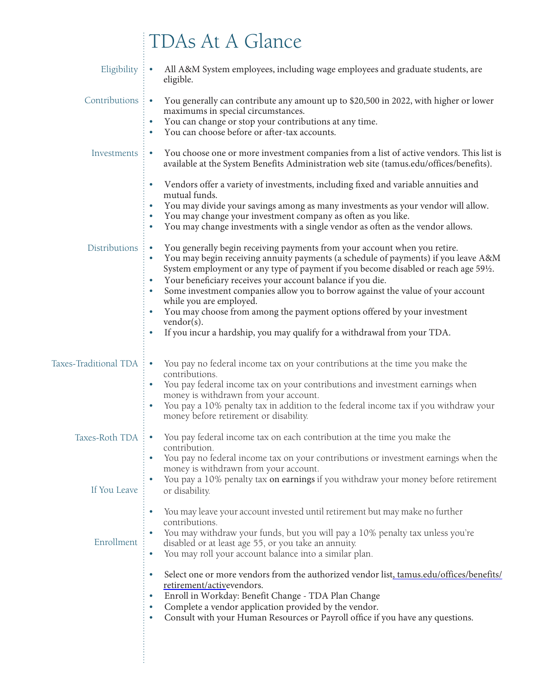# TDAs At A Glance

| Eligibility             | All A&M System employees, including wage employees and graduate students, are<br>÷.<br>eligible.                                                                                                                                                                                                                                                                                                                                                                                                                                                                                                                                           |
|-------------------------|--------------------------------------------------------------------------------------------------------------------------------------------------------------------------------------------------------------------------------------------------------------------------------------------------------------------------------------------------------------------------------------------------------------------------------------------------------------------------------------------------------------------------------------------------------------------------------------------------------------------------------------------|
| Contributions           | You generally can contribute any amount up to \$20,500 in 2022, with higher or lower<br>÷.<br>maximums in special circumstances.<br>You can change or stop your contributions at any time.<br>$\bullet$<br>You can choose before or after-tax accounts.                                                                                                                                                                                                                                                                                                                                                                                    |
| Investments             | You choose one or more investment companies from a list of active vendors. This list is<br>$\bullet$<br>available at the System Benefits Administration web site (tamus.edu/offices/benefits).                                                                                                                                                                                                                                                                                                                                                                                                                                             |
|                         | Vendors offer a variety of investments, including fixed and variable annuities and<br>mutual funds.<br>You may divide your savings among as many investments as your vendor will allow.<br>You may change your investment company as often as you like.<br>You may change investments with a single vendor as often as the vendor allows.                                                                                                                                                                                                                                                                                                  |
| <b>Distributions</b>    | You generally begin receiving payments from your account when you retire.<br>$\bullet$<br>You may begin receiving annuity payments (a schedule of payments) if you leave A&M<br>٠<br>System employment or any type of payment if you become disabled or reach age 59 <sup>1</sup> /2.<br>Your beneficiary receives your account balance if you die.<br>Some investment companies allow you to borrow against the value of your account<br>while you are employed.<br>You may choose from among the payment options offered by your investment<br>$vendor(s)$ .<br>If you incur a hardship, you may qualify for a withdrawal from your TDA. |
| Taxes-Traditional TDA   | You pay no federal income tax on your contributions at the time you make the<br>contributions.<br>You pay federal income tax on your contributions and investment earnings when<br>money is withdrawn from your account.<br>You pay a 10% penalty tax in addition to the federal income tax if you withdraw your<br>money before retirement or disability.                                                                                                                                                                                                                                                                                 |
| Taxes-Roth TDA: $\cdot$ | You pay federal income tax on each contribution at the time you make the<br>contribution.<br>You pay no federal income tax on your contributions or investment earnings when the<br>money is withdrawn from your account.<br>You pay a 10% penalty tax on earnings if you withdraw your money before retirement                                                                                                                                                                                                                                                                                                                            |
| If You Leave            | or disability.                                                                                                                                                                                                                                                                                                                                                                                                                                                                                                                                                                                                                             |
| Enrollment              | You may leave your account invested until retirement but may make no further<br>$\bullet$<br>contributions.<br>You may withdraw your funds, but you will pay a 10% penalty tax unless you're<br>disabled or at least age 55, or you take an annuity.<br>You may roll your account balance into a similar plan.<br>٠                                                                                                                                                                                                                                                                                                                        |
|                         | Select one or more vendors from the authorized vendor list, tamus.edu/offices/benefits/<br>$\bullet$<br>retirement/activevendors.<br>Enroll in Workday: Benefit Change - TDA Plan Change<br>٠<br>Complete a vendor application provided by the vendor.<br>۰<br>Consult with your Human Resources or Payroll office if you have any questions.<br>٠                                                                                                                                                                                                                                                                                         |
|                         |                                                                                                                                                                                                                                                                                                                                                                                                                                                                                                                                                                                                                                            |